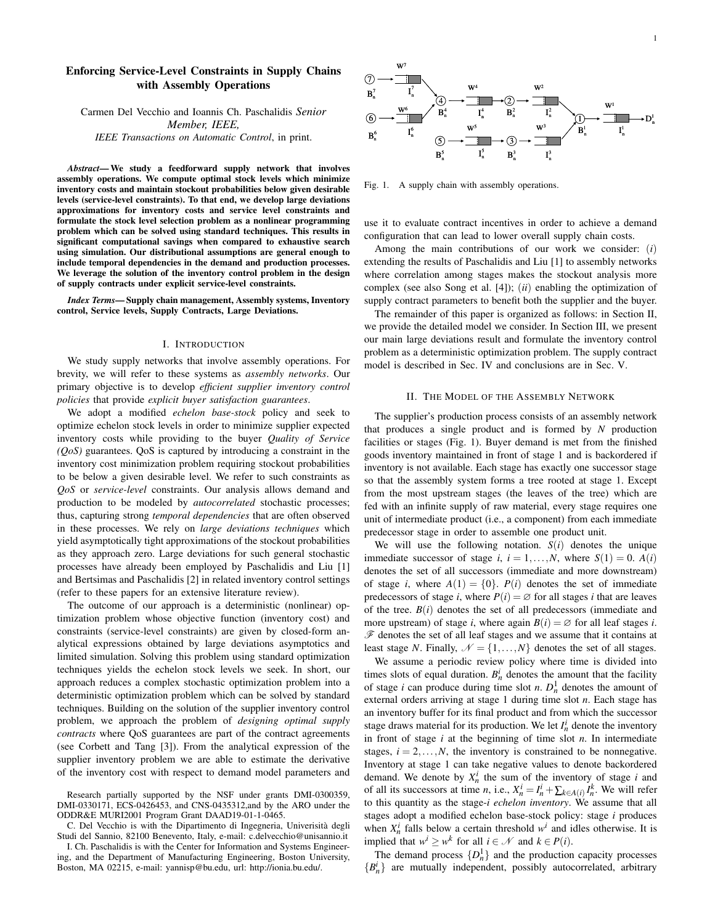# **Enforcing Service-Level Constraints in Supply Chains with Assembly Operations**

Carmen Del Vecchio and Ioannis Ch. Paschalidis *Senior Member, IEEE, IEEE Transactions on Automatic Control*, in print.

*Abstract***— We study a feedforward supply network that involves assembly operations. We compute optimal stock levels which minimize inventory costs and maintain stockout probabilities below given desirable levels (service-level constraints). To that end, we develop large deviations approximations for inventory costs and service level constraints and formulate the stock level selection problem as a nonlinear programming problem which can be solved using standard techniques. This results in significant computational savings when compared to exhaustive search using simulation. Our distributional assumptions are general enough to include temporal dependencies in the demand and production processes. We leverage the solution of the inventory control problem in the design of supply contracts under explicit service-level constraints.**

*Index Terms***— Supply chain management, Assembly systems, Inventory control, Service levels, Supply Contracts, Large Deviations.**

#### I. INTRODUCTION

We study supply networks that involve assembly operations. For brevity, we will refer to these systems as *assembly networks*. Our primary objective is to develop *efficient supplier inventory control policies* that provide *explicit buyer satisfaction guarantees*.

We adopt a modified *echelon base-stock* policy and seek to optimize echelon stock levels in order to minimize supplier expected inventory costs while providing to the buyer *Quality of Service (QoS)* guarantees. QoS is captured by introducing a constraint in the inventory cost minimization problem requiring stockout probabilities to be below a given desirable level. We refer to such constraints as *QoS* or *service-level* constraints. Our analysis allows demand and production to be modeled by *autocorrelated* stochastic processes; thus, capturing strong *temporal dependencies* that are often observed in these processes. We rely on *large deviations techniques* which yield asymptotically tight approximations of the stockout probabilities as they approach zero. Large deviations for such general stochastic processes have already been employed by Paschalidis and Liu [1] and Bertsimas and Paschalidis [2] in related inventory control settings (refer to these papers for an extensive literature review).

The outcome of our approach is a deterministic (nonlinear) optimization problem whose objective function (inventory cost) and constraints (service-level constraints) are given by closed-form analytical expressions obtained by large deviations asymptotics and limited simulation. Solving this problem using standard optimization techniques yields the echelon stock levels we seek. In short, our approach reduces a complex stochastic optimization problem into a deterministic optimization problem which can be solved by standard techniques. Building on the solution of the supplier inventory control problem, we approach the problem of *designing optimal supply contracts* where QoS guarantees are part of the contract agreements (see Corbett and Tang [3]). From the analytical expression of the supplier inventory problem we are able to estimate the derivative of the inventory cost with respect to demand model parameters and

C. Del Vecchio is with the Dipartimento di Ingegneria, Univerisita` degli Studi del Sannio, 82100 Benevento, Italy, e-mail: c.delvecchio@unisannio.it

I. Ch. Paschalidis is with the Center for Information and Systems Engineering, and the Department of Manufacturing Engineering, Boston University, Boston, MA 02215, e-mail: yannisp@bu.edu, url: http://ionia.bu.edu/.



Fig. 1. A supply chain with assembly operations.

use it to evaluate contract incentives in order to achieve a demand configuration that can lead to lower overall supply chain costs.

Among the main contributions of our work we consider: (*i*) extending the results of Paschalidis and Liu [1] to assembly networks where correlation among stages makes the stockout analysis more complex (see also Song et al. [4]); (*ii*) enabling the optimization of supply contract parameters to benefit both the supplier and the buyer.

The remainder of this paper is organized as follows: in Section II, we provide the detailed model we consider. In Section III, we present our main large deviations result and formulate the inventory control problem as a deterministic optimization problem. The supply contract model is described in Sec. IV and conclusions are in Sec. V.

## II. THE MODEL OF THE ASSEMBLY NETWORK

The supplier's production process consists of an assembly network that produces a single product and is formed by *N* production facilities or stages (Fig. 1). Buyer demand is met from the finished goods inventory maintained in front of stage 1 and is backordered if inventory is not available. Each stage has exactly one successor stage so that the assembly system forms a tree rooted at stage 1. Except from the most upstream stages (the leaves of the tree) which are fed with an infinite supply of raw material, every stage requires one unit of intermediate product (i.e., a component) from each immediate predecessor stage in order to assemble one product unit.

We will use the following notation.  $S(i)$  denotes the unique immediate successor of stage *i*,  $i = 1,...,N$ , where  $S(1) = 0$ .  $A(i)$ denotes the set of all successors (immediate and more downstream) of stage *i*, where  $A(1) = \{0\}$ .  $P(i)$  denotes the set of immediate predecessors of stage *i*, where  $P(i) = \emptyset$  for all stages *i* that are leaves of the tree.  $B(i)$  denotes the set of all predecessors (immediate and more upstream) of stage *i*, where again  $B(i) = \emptyset$  for all leaf stages *i*.  $\mathscr F$  denotes the set of all leaf stages and we assume that it contains at least stage *N*. Finally,  $\mathcal{N} = \{1, ..., N\}$  denotes the set of all stages.

We assume a periodic review policy where time is divided into times slots of equal duration.  $B_n^i$  denotes the amount that the facility of stage *i* can produce during time slot *n*.  $D_n^1$  denotes the amount of external orders arriving at stage 1 during time slot *n*. Each stage has an inventory buffer for its final product and from which the successor stage draws material for its production. We let  $I_n^i$  denote the inventory in front of stage *i* at the beginning of time slot *n*. In intermediate stages,  $i = 2, \ldots, N$ , the inventory is constrained to be nonnegative. Inventory at stage 1 can take negative values to denote backordered demand. We denote by  $X_n^i$  the sum of the inventory of stage *i* and of all its successors at time *n*, i.e.,  $X_n^i = I_n^i + \sum_{k \in A(i)} I_n^k$ . We will refer to this quantity as the stage-*i echelon inventory*. We assume that all stages adopt a modified echelon base-stock policy: stage *i* produces when  $X_n^i$  falls below a certain threshold  $w^i$  and idles otherwise. It is implied that  $w^i \geq w^k$  for all  $i \in \mathcal{N}$  and  $k \in P(i)$ .

The demand process  $\{D_n^1\}$  and the production capacity processes  ${B_n^i}$  are mutually independent, possibly autocorrelated, arbitrary

Research partially supported by the NSF under grants DMI-0300359, DMI-0330171, ECS-0426453, and CNS-0435312,and by the ARO under the ODDR&E MURI2001 Program Grant DAAD19-01-1-0465.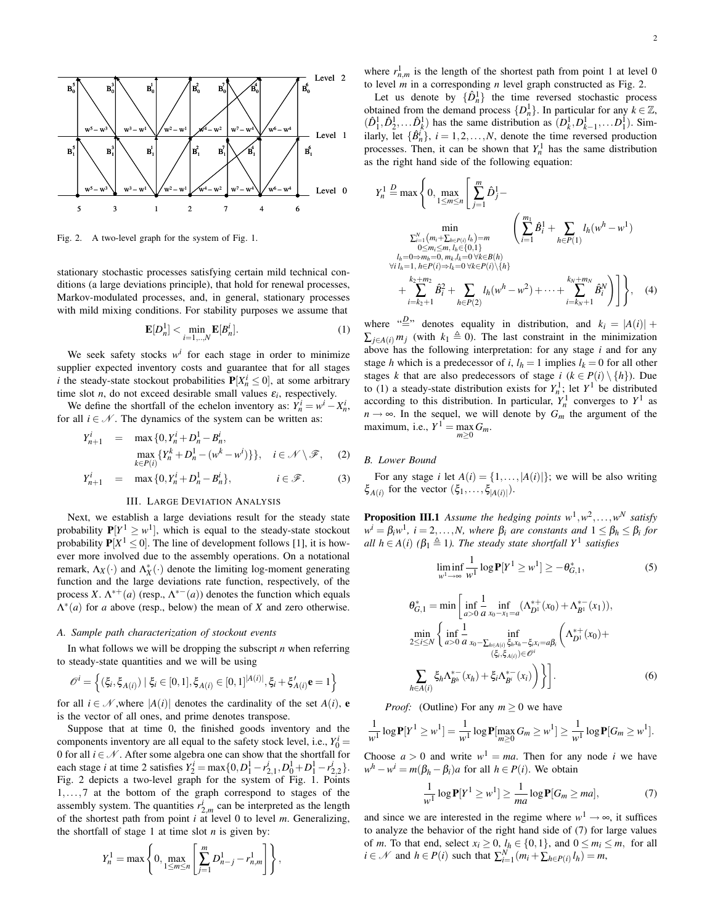

Fig. 2. A two-level graph for the system of Fig. 1.

stationary stochastic processes satisfying certain mild technical conditions (a large deviations principle), that hold for renewal processes, Markov-modulated processes, and, in general, stationary processes with mild mixing conditions. For stability purposes we assume that

$$
\mathbf{E}[D_n^1] < \min_{i=1,\dots,N} \mathbf{E}[B_n^i].\tag{1}
$$

We seek safety stocks  $w^i$  for each stage in order to minimize supplier expected inventory costs and guarantee that for all stages *i* the steady-state stockout probabilities  $P[X_n^i \le 0]$ , at some arbitrary time slot *n*, do not exceed desirable small values  $\varepsilon_i$ , respectively.

We define the shortfall of the echelon inventory as:  $Y_n^i = w^i - X_n^i$ , for all  $i \in \mathcal{N}$ . The dynamics of the system can be written as:

$$
Y_{n+1}^{i} = \max\{0, Y_{n}^{i} + D_{n}^{1} - B_{n}^{i}, \max_{k \in P(i)} \{Y_{n}^{k} + D_{n}^{1} - (w^{k} - w^{i})\}\}, \quad i \in \mathcal{N} \setminus \mathcal{F}, \quad (2)
$$

$$
Y_{n+1}^i = \max\{0, Y_n^i + D_n^1 - B_n^i\}, \qquad i \in \mathcal{F}.
$$
 (3)

# III. LARGE DEVIATION ANALYSIS

Next, we establish a large deviations result for the steady state probability  $P[Y^1 \geq w^1]$ , which is equal to the steady-state stockout probability  $P[X^1 \le 0]$ . The line of development follows [1], it is however more involved due to the assembly operations. On a notational remark,  $\Lambda_X(\cdot)$  and  $\Lambda_X^*(\cdot)$  denote the limiting log-moment generating function and the large deviations rate function, respectively, of the process *X*.  $\Lambda^{*+}(a)$  (resp.,  $\Lambda^{*-}(a)$ ) denotes the function which equals  $\Lambda^*(a)$  for *a* above (resp., below) the mean of *X* and zero otherwise.

## *A. Sample path characterization of stockout events*

In what follows we will be dropping the subscript *n* when referring to steady-state quantities and we will be using

$$
\mathcal{O}^i = \left\{ (\xi_i, \xi_{A(i)}) \mid \xi_i \in [0, 1], \xi_{A(i)} \in [0, 1]^{A(i)}, \xi_i + \xi'_{A(i)} \mathbf{e} = 1 \right\}
$$

for all  $i \in \mathcal{N}$ , where  $|A(i)|$  denotes the cardinality of the set  $A(i)$ , **e** is the vector of all ones, and prime denotes transpose.

Suppose that at time 0, the finished goods inventory and the components inventory are all equal to the safety stock level, i.e.,  $Y_0^i$  = 0 for all  $i \in \mathcal{N}$ . After some algebra one can show that the shortfall for each stage *i* at time 2 satisfies  $Y_2^i = \max\{0, D_1^1 - r_{2,1}^i, D_0^1 + D_1^1 - r_{2,2}^i\}.$ Fig. 2 depicts a two-level graph for the system of Fig. 1. Points 1,...,7 at the bottom of the graph correspond to stages of the assembly system. The quantities  $r_{2,m}^i$  can be interpreted as the length of the shortest path from point *i* at level 0 to level *m*. Generalizing, the shortfall of stage 1 at time slot  $n$  is given by:

$$
Y_n^1 = \max \left\{ 0, \max_{1 \le m \le n} \left[ \sum_{j=1}^m D_{n-j}^1 - r_{n,m}^1 \right] \right\},\,
$$

where  $r_{n,m}^1$  is the length of the shortest path from point 1 at level 0 to level *m* in a corresponding *n* level graph constructed as Fig. 2.

Let us denote by  $\{\hat{D}_n^1\}$  the time reversed stochastic process obtained from the demand process  $\{D_n^1\}$ . In particular for any  $k \in \mathbb{Z}$ ,  $(\hat{D}_1^1, \hat{D}_2^1, \dots, \hat{D}_k^1)$  has the same distribution as  $(D_k^1, D_{k-1}^1, \dots, D_1^1)$ . Similarly, let  $\{\hat{B}_{n}^{i}\}, i = 1, 2, ..., N$ , denote the time reversed production processes. Then, it can be shown that  $Y<sub>n</sub><sup>1</sup>$  has the same distribution as the right hand side of the following equation:

$$
Y_n^1 \stackrel{D}{=} \max \left\{ 0, \max_{1 \le m \le n} \left[ \sum_{j=1}^m \hat{D}_j^1 - \min_{0 \le m_i \le m} \left( \sum_{i=1}^m \hat{B}_i^1 + \sum_{h \in P(1)} l_h(w^h - w^1) \right) \right] \right\}
$$
  

$$
\min_{\substack{0 \le m_i \le m, l_h \in \{0, 1\} \\ l_h = 0 \Rightarrow m_h = 0, m_k, l_k = 0 \forall k \in B(h) \\ \forall i \ l_h = 1, h \in P(i) \Rightarrow l_k = 0 \forall k \in P(i) \setminus \{h\} \\ + \sum_{i = k_2 + 1}^{k_2 + m_2} \hat{B}_i^2 + \sum_{h \in P(2)} l_h(w^h - w^2) + \dots + \sum_{i = k_N + 1}^{k_N + m_N} \hat{B}_i^N \right) \right\}, \quad (4)
$$

where  $\sum_{i=1}^{n}$  denotes equality in distribution, and  $k_i = |A(i)| +$  $\sum_{i \in A(i)} m_i$  (with  $k_1 \triangleq 0$ ). The last constraint in the minimization above has the following interpretation: for any stage *i* and for any stage *h* which is a predecessor of *i*,  $l_h = 1$  implies  $l_k = 0$  for all other stages *k* that are also predecessors of stage *i* ( $k \in P(i) \setminus \{h\}$ ). Due to (1) a steady-state distribution exists for  $Y_n^1$ ; let  $Y^1$  be distributed according to this distribution. In particular,  $Y_n^1$  converges to  $Y^1$  as  $n \rightarrow \infty$ . In the sequel, we will denote by  $G_m$  the argument of the maximum, i.e.,  $Y^1 = \max_{m \geq 0} G_m$ .

## *B. Lower Bound*

For any stage *i* let  $A(i) = \{1, ..., |A(i)|\}$ ; we will be also writing  $\xi_{A(i)}$  for the vector  $(\xi_1, \ldots, \xi_{|A(i)|})$ .

**Proposition III.1** Assume the hedging points  $w^1, w^2, \ldots, w^N$  satisfy  $w^i = \beta_i w^1$ ,  $i = 2, ..., N$ , where  $\beta_i$  are constants and  $1 \leq \beta_h \leq \beta_i$  for *all*  $h \in A(i)$  ( $\beta_1 \triangleq 1$ ). *The steady state shortfall*  $Y^1$  *satisfies* 

$$
\liminf_{w^1 \to \infty} \frac{1}{w^1} \log \mathbf{P}[Y^1 \ge w^1] \ge -\theta_{G,1}^*,\tag{5}
$$

$$
\theta_{G,1}^{*} = \min \left[ \inf_{a>0} \frac{1}{a} \inf_{x_0 - x_1 = a} (\Lambda_{D^1}^{*+}(x_0) + \Lambda_{B^1}^{*-}(x_1)), \n\min_{2 \le i \le N} \left\{ \inf_{a>0} \frac{1}{a} \inf_{x_0 - \sum_{h \in A(i)} \xi_h x_h - \xi_t x_i = a\beta_i} \left( \Lambda_{D^1}^{*+}(x_0) + \frac{(\xi_i, \xi_{A(i)}) \in \mathcal{O}^i}{(\xi_i, \xi_{A(i)}) \in \mathcal{O}^i} \right) \right\} \right].
$$
\n
$$
\sum_{h \in A(i)} \xi_h \Lambda_{B^h}^{*-}(x_h) + \xi_i \Lambda_{B^i}^{*-}(x_i) \bigg) \bigg\}.
$$
\n(6)

*Proof:* (Outline) For any  $m \geq 0$  we have

$$
\frac{1}{w^1} \log \mathbf{P}[Y^1 \geq w^1] = \frac{1}{w^1} \log \mathbf{P}[\max_{m \geq 0} G_m \geq w^1] \geq \frac{1}{w^1} \log \mathbf{P}[G_m \geq w^1].
$$

Choose  $a > 0$  and write  $w<sup>1</sup> = ma$ . Then for any node *i* we have  $w<sup>h</sup> - w<sup>i</sup> = m(\beta_h - \beta_i)a$  for all  $h \in P(i)$ . We obtain

$$
\frac{1}{w^1}\log \mathbf{P}[Y^1 \ge w^1] \ge \frac{1}{ma}\log \mathbf{P}[G_m \ge ma],\tag{7}
$$

and since we are interested in the regime where  $w^1 \rightarrow \infty$ , it suffices to analyze the behavior of the right hand side of (7) for large values of *m*. To that end, select  $x_i \geq 0$ ,  $l_h \in \{0, 1\}$ , and  $0 \leq m_i \leq m$ , for all  $i \in \mathcal{N}$  and  $h \in P(i)$  such that  $\sum_{i=1}^{N} (m_i + \sum_{h \in P(i)} l_h) = m$ ,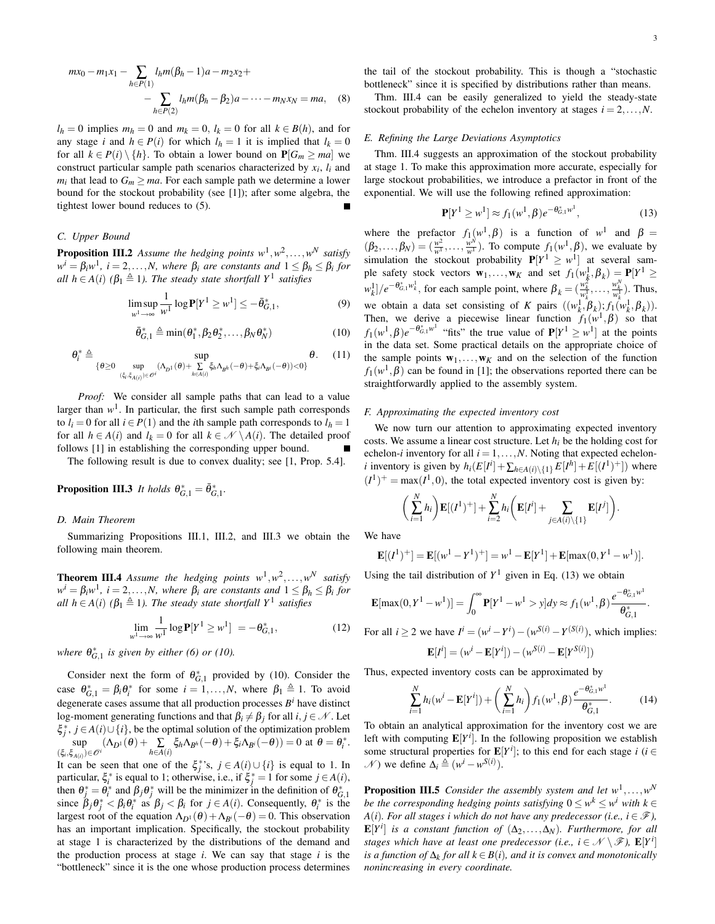$l_h = 0$  implies  $m_h = 0$  and  $m_k = 0$ ,  $l_k = 0$  for all  $k \in B(h)$ , and for any stage *i* and  $h \in P(i)$  for which  $l_h = 1$  it is implied that  $l_k = 0$ for all  $k \in P(i) \setminus \{h\}$ . To obtain a lower bound on  $P[G_m \geq ma]$  we construct particular sample path scenarios characterized by  $x_i$ ,  $l_i$  and  $m_i$  that lead to  $G_m \geq ma$ . For each sample path we determine a lower bound for the stockout probability (see [1]); after some algebra, the tightest lower bound reduces to (5).

### *C. Upper Bound*

**Proposition III.2** Assume the hedging points  $w^1, w^2, \ldots, w^N$  satisfy  $w^i = \beta_i w^1$ ,  $i = 2, ..., N$ , where  $\beta_i$  are constants and  $1 \leq \beta_h \leq \beta_i$  for *all*  $h \in A(i)$  ( $\beta_1 \triangleq 1$ ). *The steady state shortfall*  $Y^1$  *satisfies* 

$$
\limsup_{w^1 \to \infty} \frac{1}{w^1} \log \mathbf{P}[Y^1 \ge w^1] \le -\bar{\theta}_{G,1}^*,\tag{9}
$$

$$
\bar{\theta}_{G,1}^* \triangleq \min(\theta_1^*, \beta_2 \theta_2^*, \dots, \beta_N \theta_N^*)
$$
 (10)

$$
\theta_i^* \triangleq \sup_{\{\theta \geq 0 \ \sup_{(\xi_i, \xi_{A(i)}) \in \mathcal{O}^i} (\Lambda_{D^1}(\theta) + \sum_{h \in A(i)} \xi_h \Lambda_{B^h}(-\theta) + \xi_i \Lambda_{B^i}(-\theta)) < 0\}} \theta. \tag{11}
$$

*Proof:* We consider all sample paths that can lead to a value larger than  $w<sup>1</sup>$ . In particular, the first such sample path corresponds to  $l_i = 0$  for all  $i \in P(1)$  and the *i*th sample path corresponds to  $l_h = 1$ for all  $h \in A(i)$  and  $l_k = 0$  for all  $k \in \mathcal{N} \setminus A(i)$ . The detailed proof follows [1] in establishing the corresponding upper bound.

The following result is due to convex duality; see [1, Prop. 5.4].

**Proposition III.3** *It holds*  $\theta_{G,1}^* = \overline{\theta}_{G,1}^*$ .

#### *D. Main Theorem*

Summarizing Propositions III.1, III.2, and III.3 we obtain the following main theorem.

**Theorem III.4** Assume the hedging points  $w^1, w^2, \ldots, w^N$  satisfy  $w^i = \beta_i w^1$ ,  $i = 2, ..., N$ , where  $\beta_i$  are constants and  $1 \leq \beta_h \leq \beta_i$  for *all*  $h \in A(i)$  ( $\beta_1 \triangleq 1$ ). *The steady state shortfall*  $Y^1$  *satisfies* 

$$
\lim_{w^1 \to \infty} \frac{1}{w^1} \log \mathbf{P}[Y^1 \ge w^1] = -\theta_{G,1}^*,\tag{12}
$$

*where*  $\theta_{G,1}^*$  *is given by either (6) or (10).* 

Consider next the form of  $\theta_{G,1}^*$  provided by (10). Consider the case  $\theta_{G,1}^* = \beta_i \theta_i^*$  for some  $i = 1,...,N$ , where  $\beta_1 \triangleq 1$ . To avoid degenerate cases assume that all production processes  $B^i$  have distinct log-moment generating functions and that  $\beta_i \neq \beta_j$  for all  $i, j \in \mathcal{N}$ . Let  $\xi_j^*$ ,  $j \in A(i) \cup \{i\}$ , be the optimal solution of the optimization problem sup  $(\xi_i, \xi_{A(i)}) \in \mathcal{O}^i$   $(\Lambda_{D^1}(\theta) + \sum_{h \in A(i)} \xi_h \Lambda_{B^h}(-\theta) + \xi_i \Lambda_{B^i}(-\theta)) = 0$  at  $\theta = \theta_i^*.$ It can be seen that one of the  $\xi_j^*$ 's,  $j \in A(i) \cup \{i\}$  is equal to 1. In

particular,  $\xi_i^*$  is equal to 1; otherwise, i.e., if  $\xi_j^* = 1$  for some  $j \in A(i)$ , then  $\theta_j^* = \theta_i^*$  and  $\beta_j \theta_j^*$  will be the minimizer in the definition of  $\theta_{G,1}^*$ since  $\beta_j \theta_j^* < \beta_i \theta_i^*$  as  $\beta_j < \beta_i$  for  $j \in A(i)$ . Consequently,  $\theta_i^*$  is the largest root of the equation  $\Lambda_{D^1}(\theta) + \Lambda_{B^i}(-\theta) = 0$ . This observation has an important implication. Specifically, the stockout probability at stage 1 is characterized by the distributions of the demand and the production process at stage *i*. We can say that stage *i* is the "bottleneck" since it is the one whose production process determines the tail of the stockout probability. This is though a "stochastic bottleneck" since it is specified by distributions rather than means.

Thm. III.4 can be easily generalized to yield the steady-state stockout probability of the echelon inventory at stages  $i = 2, \ldots, N$ .

#### *E. Refining the Large Deviations Asymptotics*

Thm. III.4 suggests an approximation of the stockout probability at stage 1. To make this approximation more accurate, especially for large stockout probabilities, we introduce a prefactor in front of the exponential. We will use the following refined approximation:

$$
\mathbf{P}[Y^1 \ge w^1] \approx f_1(w^1, \beta) e^{-\theta_{G,1}^* w^1}, \tag{13}
$$

where the prefactor  $f_1(w^1, \beta)$  is a function of  $w^1$  and  $\beta =$  $(\beta_2,\ldots,\beta_N) = (\frac{w^2}{w^1},\ldots,\frac{w^N}{w^1})$ . To compute  $f_1(w^1,\beta)$ , we evaluate by simulation the stockout probability  $P[Y^1 \geq w^1]$  at several sample safety stock vectors  $\mathbf{w}_1, \dots, \mathbf{w}_K$  and set  $f_1(w_k^1, \beta_k) = \mathbf{P}[Y^1 \geq$  $[w_k^1] / e^{-\theta_{G,1}^2 w_k^1}$ , for each sample point, where  $\beta_k = (\frac{w_k^2}{w_k^1}, \dots, \frac{w_k^N}{w_k^1})$ . Thus, we obtain a data set consisting of *K* pairs  $((w_k^1, \beta_k); f_1(w_k^1, \beta_k))$ . Then, we derive a piecewise linear function  $f_1(w^1, \beta)$  so that  $f_1(w^1, \beta)e^{-\theta_{G,1}^*w^1}$  "fits" the true value of  $P[Y^1 \geq w^1]$  at the points in the data set. Some practical details on the appropriate choice of the sample points  $\mathbf{w}_1, \ldots, \mathbf{w}_K$  and on the selection of the function  $f_1(w^1, \beta)$  can be found in [1]; the observations reported there can be straightforwardly applied to the assembly system.

#### *F. Approximating the expected inventory cost*

We now turn our attention to approximating expected inventory costs. We assume a linear cost structure. Let  $h_i$  be the holding cost for echelon-*i* inventory for all  $i = 1, ..., N$ . Noting that expected echelon*i* inventory is given by  $h_i(E[I^i] + \sum_{h \in A(i) \setminus \{1\}} E[I^h] + E[(I^1)^+]$  where  $(I^1)^+$  = max $(I^1, 0)$ , the total expected inventory cost is given by:

$$
\bigg(\sum_{i=1}^N h_i\bigg)\mathbf{E}[(I^1)^+] + \sum_{i=2}^N h_i\bigg(\mathbf{E}[I^i] + \sum_{j\in A(i)\setminus\{1\}} \mathbf{E}[I^j]\bigg).
$$

We have

$$
\mathbf{E}[(I^1)^+] = \mathbf{E}[(w^1 - Y^1)^+] = w^1 - \mathbf{E}[Y^1] + \mathbf{E}[\max(0, Y^1 - w^1)].
$$

Using the tail distribution of  $Y^1$  given in Eq. (13) we obtain

$$
\mathbf{E}[\max(0, Y^1 - w^1)] = \int_0^\infty \mathbf{P}[Y^1 - w^1 > y] dy \approx f_1(w^1, \beta) \frac{e^{-\theta_{G,1}^2 w^1}}{\theta_{G,1}^*}.
$$

For all *i*  $\geq 2$  we have  $I^i = (w^i - Y^i) - (w^{S(i)} - Y^{(S(i)}))$ , which implies:

$$
\mathbf{E}[I^i] = (w^i - \mathbf{E}[Y^i]) - (w^{S(i)} - \mathbf{E}[Y^{S(i)}])
$$

Thus, expected inventory costs can be approximated by

$$
\sum_{i=1}^{N} h_i(w^i - \mathbf{E}[Y^i]) + \left(\sum_{i=1}^{N} h_i\right) f_1(w^1, \beta) \frac{e^{-\theta_{G,1}^* w^1}}{\theta_{G,1}^*}.
$$
 (14)

To obtain an analytical approximation for the inventory cost we are left with computing  $\mathbf{E}[Y^i]$ . In the following proposition we establish some structural properties for  $\mathbf{E}[Y^i]$ ; to this end for each stage *i* (*i* ∈  $\mathcal{N}$ ) we define  $\Delta_i \triangleq (w^i - w^{S(i)})$ .

**Proposition III.5** *Consider the assembly system and let*  $w<sup>1</sup>, \ldots, w<sup>N</sup>$ *be* the corresponding hedging points satisfying  $0 \le w^k \le w^i$  with  $k \in$ *A*(*i*)*. For all stages <i>i* which *do not have any predecessor* (*i.e., i*  $\in \mathcal{F}$ *),*  $\mathbf{E}[Y^i]$  *is a constant function of*  $(\Delta_2, ..., \Delta_N)$ *. Furthermore, for all stages which have at least one predecessor (i.e.,*  $i \in \mathcal{N} \setminus \mathcal{F}$ ),  $\mathbf{E}[Y^i]$  $i$ *s a function of*  $\Delta_k$  *for all*  $k \in B(i)$ *, and it is convex and monotonically nonincreasing in every coordinate.*